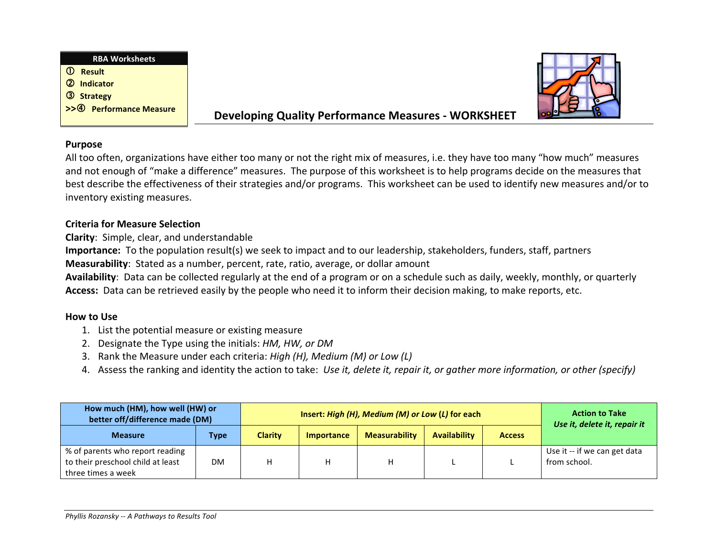



# **Developing Quality Performance Measures - WORKSHEET**

### **Purpose**

All too often, organizations have either too many or not the right mix of measures, i.e. they have too many "how much" measures and not enough of "make a difference" measures. The purpose of this worksheet is to help programs decide on the measures that best describe the effectiveness of their strategies and/or programs. This worksheet can be used to identify new measures and/or to inventory existing measures.

# **Criteria for Measure Selection**

**Clarity**: Simple, clear, and understandable

**Importance:** To the population result(s) we seek to impact and to our leadership, stakeholders, funders, staff, partners

**Measurability**: Stated as a number, percent, rate, ratio, average, or dollar amount

Availability: Data can be collected regularly at the end of a program or on a schedule such as daily, weekly, monthly, or quarterly **Access:** Data can be retrieved easily by the people who need it to inform their decision making, to make reports, etc.

## **How to Use**

- 1. List the potential measure or existing measure
- 2. Designate the Type using the initials: *HM, HW, or DM*
- 3. Rank the Measure under each criteria: *High (H), Medium (M) or Low (L)*
- 4. Assess the ranking and identity the action to take: Use it, delete it, repair it, or gather more information, or other (specify)

| How much (HM), how well (HW) or<br>better off/difference made (DM)                         |             |                | Insert: High (H), Medium (M) or Low (L) for each | <b>Action to Take</b><br>Use it, delete it, repair it |              |               |                                              |
|--------------------------------------------------------------------------------------------|-------------|----------------|--------------------------------------------------|-------------------------------------------------------|--------------|---------------|----------------------------------------------|
| <b>Measure</b>                                                                             | <b>Type</b> | <b>Clarity</b> | <b>Importance</b>                                | <b>Measurability</b>                                  | Availability | <b>Access</b> |                                              |
| % of parents who report reading<br>to their preschool child at least<br>three times a week | DM.         | н              |                                                  |                                                       |              |               | Use it -- if we can get data<br>from school. |